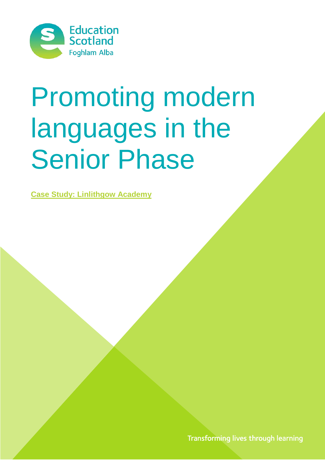

# Promoting modern languages in the Senior Phase

**Case Study: Linlithgow Academy**

Transforming lives through learning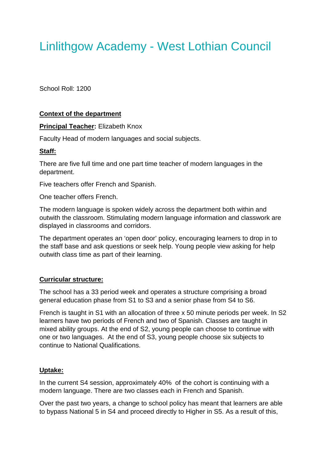# Linlithgow Academy - West Lothian Council

School Roll: 1200

# **Context of the department**

#### **Principal Teacher:** Elizabeth Knox

Faculty Head of modern languages and social subjects.

#### **Staff:**

There are five full time and one part time teacher of modern languages in the department.

Five teachers offer French and Spanish.

One teacher offers French.

The modern language is spoken widely across the department both within and outwith the classroom. Stimulating modern language information and classwork are displayed in classrooms and corridors.

The department operates an 'open door' policy, encouraging learners to drop in to the staff base and ask questions or seek help. Young people view asking for help outwith class time as part of their learning.

#### **Curricular structure:**

The school has a 33 period week and operates a structure comprising a broad general education phase from S1 to S3 and a senior phase from S4 to S6.

French is taught in S1 with an allocation of three x 50 minute periods per week. In S2 learners have two periods of French and two of Spanish. Classes are taught in mixed ability groups. At the end of S2, young people can choose to continue with one or two languages. At the end of S3, young people choose six subjects to continue to National Qualifications.

#### **Uptake:**

In the current S4 session, approximately 40% of the cohort is continuing with a modern language. There are two classes each in French and Spanish.

Over the past two years, a change to school policy has meant that learners are able to bypass National 5 in S4 and proceed directly to Higher in S5. As a result of this,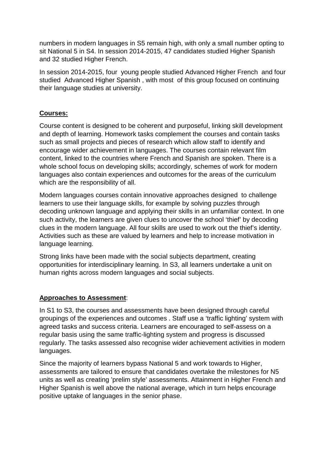numbers in modern languages in S5 remain high, with only a small number opting to sit National 5 in S4. In session 2014-2015, 47 candidates studied Higher Spanish and 32 studied Higher French.

In session 2014-2015, four young people studied Advanced Higher French and four studied Advanced Higher Spanish , with most of this group focused on continuing their language studies at university.

# **Courses:**

Course content is designed to be coherent and purposeful, linking skill development and depth of learning. Homework tasks complement the courses and contain tasks such as small projects and pieces of research which allow staff to identify and encourage wider achievement in languages. The courses contain relevant film content, linked to the countries where French and Spanish are spoken. There is a whole school focus on developing skills; accordingly, schemes of work for modern languages also contain experiences and outcomes for the areas of the curriculum which are the responsibility of all.

Modern languages courses contain innovative approaches designed to challenge learners to use their language skills, for example by solving puzzles through decoding unknown language and applying their skills in an unfamiliar context. In one such activity, the learners are given clues to uncover the school 'thief' by decoding clues in the modern language. All four skills are used to work out the thief's identity. Activities such as these are valued by learners and help to increase motivation in language learning.

Strong links have been made with the social subjects department, creating opportunities for interdisciplinary learning. In S3, all learners undertake a unit on human rights across modern languages and social subjects.

# **Approaches to Assessment**:

In S1 to S3, the courses and assessments have been designed through careful groupings of the experiences and outcomes . Staff use a 'traffic lighting' system with agreed tasks and success criteria. Learners are encouraged to self-assess on a regular basis using the same traffic-lighting system and progress is discussed regularly. The tasks assessed also recognise wider achievement activities in modern languages.

Since the majority of learners bypass National 5 and work towards to Higher, assessments are tailored to ensure that candidates overtake the milestones for N5 units as well as creating 'prelim style' assessments. Attainment in Higher French and Higher Spanish is well above the national average, which in turn helps encourage positive uptake of languages in the senior phase.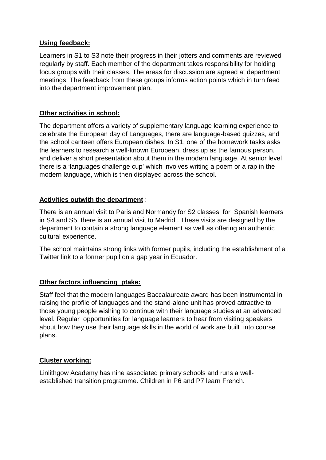#### **Using feedback:**

Learners in S1 to S3 note their progress in their jotters and comments are reviewed regularly by staff. Each member of the department takes responsibility for holding focus groups with their classes. The areas for discussion are agreed at department meetings. The feedback from these groups informs action points which in turn feed into the department improvement plan.

# **Other activities in school:**

The department offers a variety of supplementary language learning experience to celebrate the European day of Languages, there are language-based quizzes, and the school canteen offers European dishes. In S1, one of the homework tasks asks the learners to research a well-known European, dress up as the famous person, and deliver a short presentation about them in the modern language. At senior level there is a 'languages challenge cup' which involves writing a poem or a rap in the modern language, which is then displayed across the school.

#### **Activities outwith the department** :

There is an annual visit to Paris and Normandy for S2 classes; for Spanish learners in S4 and S5, there is an annual visit to Madrid . These visits are designed by the department to contain a strong language element as well as offering an authentic cultural experience.

The school maintains strong links with former pupils, including the establishment of a Twitter link to a former pupil on a gap year in Ecuador.

# **Other factors influencing ptake:**

Staff feel that the modern languages Baccalaureate award has been instrumental in raising the profile of languages and the stand-alone unit has proved attractive to those young people wishing to continue with their language studies at an advanced level. Regular opportunities for language learners to hear from visiting speakers about how they use their language skills in the world of work are built into course plans.

#### **Cluster working:**

Linlithgow Academy has nine associated primary schools and runs a wellestablished transition programme. Children in P6 and P7 learn French.